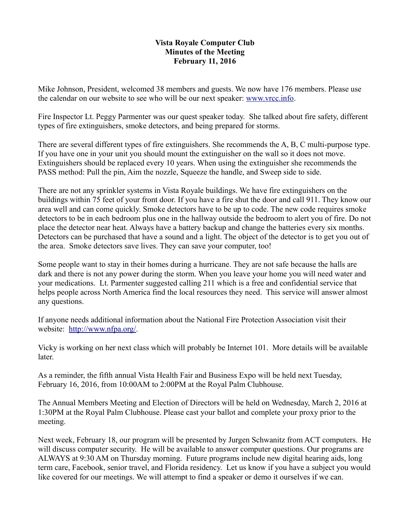## **Vista Royale Computer Club Minutes of the Meeting February 11, 2016**

Mike Johnson, President, welcomed 38 members and guests. We now have 176 members. Please use the calendar on our website to see who will be our next speaker: [www.vrcc.info.](http://www.vrcc.info/)

Fire Inspector Lt. Peggy Parmenter was our quest speaker today. She talked about fire safety, different types of fire extinguishers, smoke detectors, and being prepared for storms.

There are several different types of fire extinguishers. She recommends the A, B, C multi-purpose type. If you have one in your unit you should mount the extinguisher on the wall so it does not move. Extinguishers should be replaced every 10 years. When using the extinguisher she recommends the PASS method: Pull the pin, Aim the nozzle, Squeeze the handle, and Sweep side to side.

There are not any sprinkler systems in Vista Royale buildings. We have fire extinguishers on the buildings within 75 feet of your front door. If you have a fire shut the door and call 911. They know our area well and can come quickly. Smoke detectors have to be up to code. The new code requires smoke detectors to be in each bedroom plus one in the hallway outside the bedroom to alert you of fire. Do not place the detector near heat. Always have a battery backup and change the batteries every six months. Detectors can be purchased that have a sound and a light. The object of the detector is to get you out of the area. Smoke detectors save lives. They can save your computer, too!

Some people want to stay in their homes during a hurricane. They are not safe because the halls are dark and there is not any power during the storm. When you leave your home you will need water and your medications. Lt. Parmenter suggested calling 211 which is a free and confidential service that helps people across North America find the local resources they need. This service will answer almost any questions.

If anyone needs additional information about the National Fire Protection Association visit their website: [http://www.nfpa.org/.](http://www.nfpa.org/)

Vicky is working on her next class which will probably be Internet 101. More details will be available later.

As a reminder, the fifth annual Vista Health Fair and Business Expo will be held next Tuesday, February 16, 2016, from 10:00AM to 2:00PM at the Royal Palm Clubhouse.

The Annual Members Meeting and Election of Directors will be held on Wednesday, March 2, 2016 at 1:30PM at the Royal Palm Clubhouse. Please cast your ballot and complete your proxy prior to the meeting.

Next week, February 18, our program will be presented by Jurgen Schwanitz from ACT computers. He will discuss computer security. He will be available to answer computer questions. Our programs are ALWAYS at 9:30 AM on Thursday morning. Future programs include new digital hearing aids, long term care, Facebook, senior travel, and Florida residency. Let us know if you have a subject you would like covered for our meetings. We will attempt to find a speaker or demo it ourselves if we can.